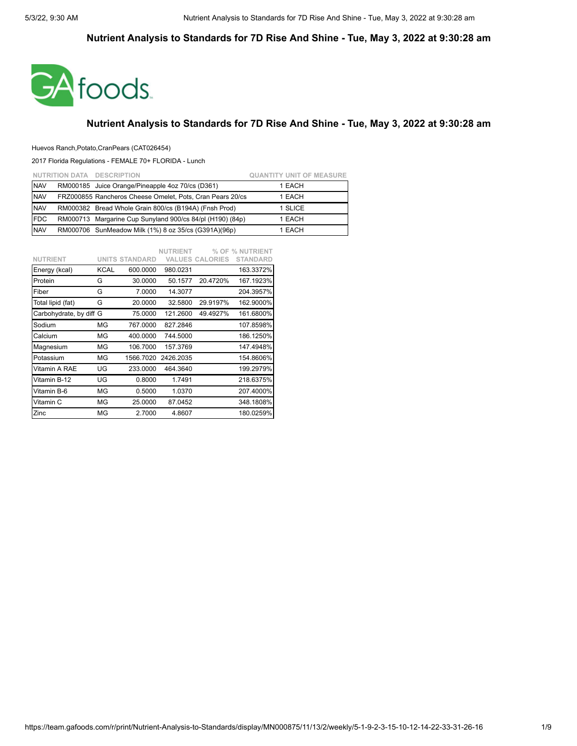

### **Nutrient Analysis to Standards for 7D Rise And Shine - Tue, May 3, 2022 at 9:30:28 am**

### Huevos Ranch,Potato,CranPears (CAT026454)

|             | NUTRITION DATA DESCRIPTION                                | <b>QUANTITY UNIT OF MEASURE</b> |
|-------------|-----------------------------------------------------------|---------------------------------|
| <b>NAV</b>  | RM000185 Juice Orange/Pineapple 4oz 70/cs (D361)          | 1 EACH                          |
| <b>NAV</b>  | FRZ000855 Rancheros Cheese Omelet, Pots, Cran Pears 20/cs | 1 EACH                          |
| <b>NAV</b>  | RM000382 Bread Whole Grain 800/cs (B194A) (Fnsh Prod)     | 1 SLICE                         |
| <b>IFDC</b> | RM000713 Margarine Cup Sunyland 900/cs 84/pl (H190) (84p) | 1 EACH                          |
| <b>NAV</b>  | RM000706 SunMeadow Milk (1%) 8 oz 35/cs (G391A)(96p)      | 1 EACH                          |

| <b>NUTRIENT</b>         |      | <b>UNITS STANDARD</b> | <b>NUTRIENT</b> | <b>VALUES CALORIES</b> | % OF % NUTRIENT<br><b>STANDARD</b> |
|-------------------------|------|-----------------------|-----------------|------------------------|------------------------------------|
| Energy (kcal)           | KCAL | 600.0000              | 980.0231        |                        | 163.3372%                          |
| Protein                 | G    | 30.0000               | 50.1577         | 20.4720%               | 167.1923%                          |
| Fiber                   | G    | 7.0000                | 14.3077         |                        | 204.3957%                          |
| Total lipid (fat)       | G    | 20.0000               | 32.5800         | 29.9197%               | 162.9000%                          |
| Carbohydrate, by diff G |      | 75.0000               | 121.2600        | 49.4927%               | 161.6800%                          |
| Sodium                  | ΜG   | 767.0000              | 827.2846        |                        | 107.8598%                          |
| Calcium                 | ΜG   | 400.0000              | 744.5000        |                        | 186.1250%                          |
| Magnesium               | ΜG   | 106.7000              | 157.3769        |                        | 147.4948%                          |
| Potassium               | ΜG   | 1566.7020             | 2426.2035       |                        | 154.8606%                          |
| Vitamin A RAE           | UG   | 233.0000              | 464.3640        |                        | 199.2979%                          |
| Vitamin B-12            | UG   | 0.8000                | 1.7491          |                        | 218.6375%                          |
| Vitamin B-6             | ΜG   | 0.5000                | 1.0370          |                        | 207.4000%                          |
| Vitamin C               | ΜG   | 25.0000               | 87.0452         |                        | 348.1808%                          |
| Zinc                    | ΜG   | 2.7000                | 4.8607          |                        | 180.0259%                          |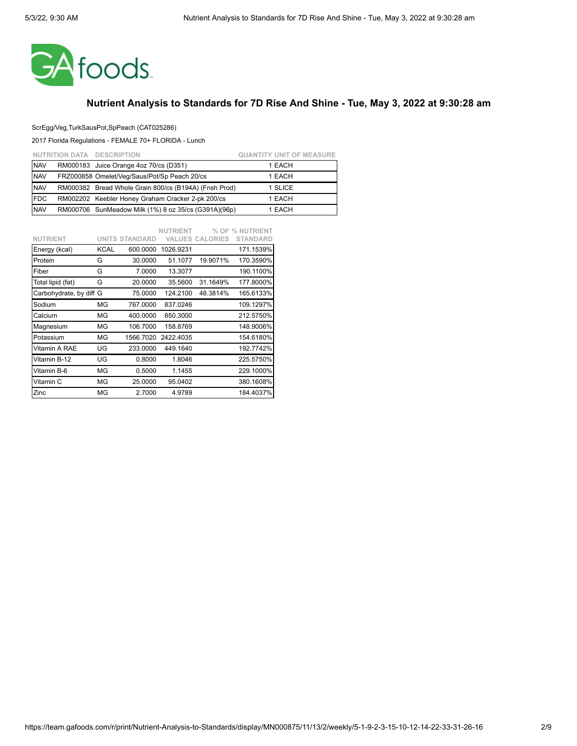

### ScrEgg/Veg,TurkSausPot,SpPeach (CAT025286)

|            | NUTRITION DATA DESCRIPTION                            | <b>QUANTITY UNIT OF MEASURE</b> |
|------------|-------------------------------------------------------|---------------------------------|
| <b>NAV</b> | RM000183 Juice Orange 4oz 70/cs (D351)                | 1 EACH                          |
| <b>NAV</b> | FRZ000858 Omelet/Veg/Saus/Pot/Sp Peach 20/cs          | 1 EACH                          |
| <b>NAV</b> | RM000382 Bread Whole Grain 800/cs (B194A) (Fnsh Prod) | 1 SLICE                         |
| <b>FDC</b> | RM002202 Keebler Honey Graham Cracker 2-pk 200/cs     | 1 EACH                          |
| <b>NAV</b> | RM000706 SunMeadow Milk (1%) 8 oz 35/cs (G391A)(96p)  | 1 EACH                          |

|                         |             |                       | <b>NUTRIENT</b> |                        | % OF % NUTRIENT |
|-------------------------|-------------|-----------------------|-----------------|------------------------|-----------------|
| <b>NUTRIENT</b>         |             | <b>UNITS STANDARD</b> |                 | <b>VALUES CALORIES</b> | <b>STANDARD</b> |
| Energy (kcal)           | <b>KCAL</b> | 600.0000              | 1026.9231       |                        | 171.1539%       |
| Protein                 | G           | 30.0000               | 51.1077         | 19.9071%               | 170.3590%       |
| Fiber                   | G           | 7.0000                | 13.3077         |                        | 190.1100%       |
| Total lipid (fat)       | G           | 20.0000               | 35.5600         | 31.1649%               | 177.8000%       |
| Carbohydrate, by diff G |             | 75.0000               | 124,2100        | 48.3814%               | 165.6133%       |
| Sodium                  | ΜG          | 767.0000              | 837.0246        |                        | 109.1297%       |
| Calcium                 | ΜG          | 400.0000              | 850.3000        |                        | 212.5750%       |
| Magnesium               | MG          | 106.7000              | 158.8769        |                        | 148.9006%       |
| Potassium               | ΜG          | 1566.7020             | 2422.4035       |                        | 154.6180%       |
| Vitamin A RAE           | UG          | 233.0000              | 449.1640        |                        | 192.7742%       |
| Vitamin B-12            | UG          | 0.8000                | 1.8046          |                        | 225.5750%       |
| Vitamin B-6             | ΜG          | 0.5000                | 1.1455          |                        | 229.1000%       |
| Vitamin C               | MG          | 25.0000               | 95.0402         |                        | 380.1608%       |
| Zinc                    | MG          | 2.7000                | 4.9789          |                        | 184.4037%       |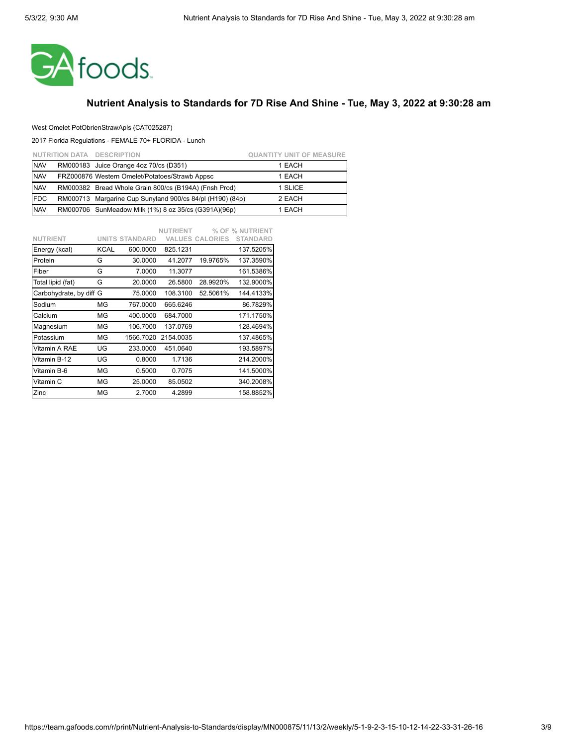

### West Omelet PotObrienStrawApls (CAT025287)

|            | NUTRITION DATA DESCRIPTION                                | <b>QUANTITY UNIT OF MEASURE</b> |
|------------|-----------------------------------------------------------|---------------------------------|
| <b>NAV</b> | RM000183 Juice Orange 4oz 70/cs (D351)                    | 1 EACH                          |
| <b>NAV</b> | FRZ000876 Western Omelet/Potatoes/Strawb Appsc            | 1 EACH                          |
| <b>NAV</b> | RM000382 Bread Whole Grain 800/cs (B194A) (Fnsh Prod)     | 1 SLICE                         |
| <b>FDC</b> | RM000713 Margarine Cup Sunyland 900/cs 84/pl (H190) (84p) | 2 EACH                          |
| <b>NAV</b> | RM000706 SunMeadow Milk (1%) 8 oz 35/cs (G391A)(96p)      | 1 EACH                          |

|                         |             |                       | <b>NUTRIENT</b> |                        | % OF % NUTRIENT |
|-------------------------|-------------|-----------------------|-----------------|------------------------|-----------------|
| <b>NUTRIENT</b>         |             | <b>UNITS STANDARD</b> |                 | <b>VALUES CALORIES</b> | <b>STANDARD</b> |
| Energy (kcal)           | <b>KCAL</b> | 600.0000              | 825.1231        |                        | 137.5205%       |
| Protein                 | G           | 30.0000               | 41.2077         | 19.9765%               | 137.3590%       |
| Fiber                   | G           | 7.0000                | 11.3077         |                        | 161.5386%       |
| Total lipid (fat)       | G           | 20.0000               | 26.5800         | 28.9920%               | 132.9000%       |
| Carbohydrate, by diff G |             | 75.0000               | 108.3100        | 52.5061%               | 144.4133%       |
| Sodium                  | ΜG          | 767.0000              | 665.6246        |                        | 86.7829%        |
| Calcium                 | MG          | 400.0000              | 684.7000        |                        | 171.1750%       |
| Magnesium               | ΜG          | 106.7000              | 137.0769        |                        | 128.4694%       |
| Potassium               | ΜG          | 1566.7020             | 2154.0035       |                        | 137.4865%       |
| Vitamin A RAE           | UG          | 233.0000              | 451.0640        |                        | 193.5897%       |
| Vitamin B-12            | UG          | 0.8000                | 1.7136          |                        | 214.2000%       |
| Vitamin B-6             | ΜG          | 0.5000                | 0.7075          |                        | 141.5000%       |
| Vitamin C               | ΜG          | 25.0000               | 85.0502         |                        | 340.2008%       |
| Zinc                    | MG          | 2.7000                | 4.2899          |                        | 158.8852%       |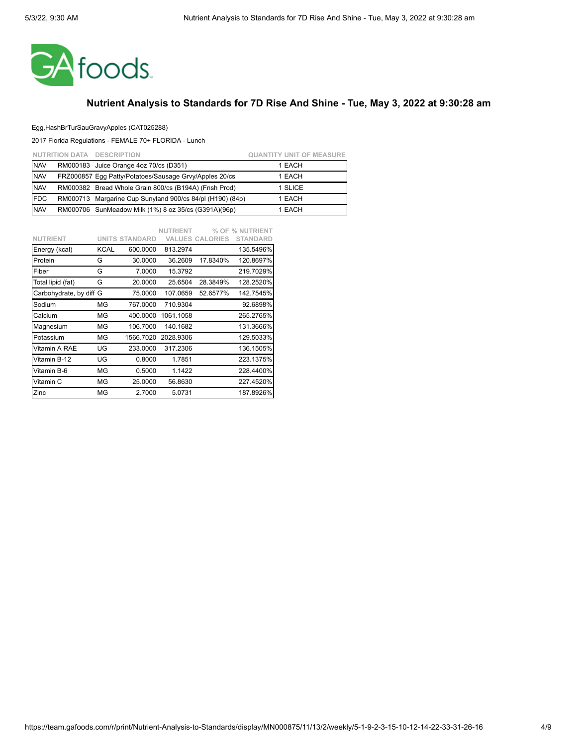

### Egg,HashBrTurSauGravyApples (CAT025288)

|            | NUTRITION DATA DESCRIPTION                                | <b>QUANTITY UNIT OF MEASURE</b> |
|------------|-----------------------------------------------------------|---------------------------------|
| <b>NAV</b> | RM000183 Juice Orange 4oz 70/cs (D351)                    | 1 EACH                          |
| <b>NAV</b> | FRZ000857 Eqq Patty/Potatoes/Sausage Gryy/Apples 20/cs    | 1 EACH                          |
| <b>NAV</b> | RM000382 Bread Whole Grain 800/cs (B194A) (Fnsh Prod)     | 1 SLICE                         |
| <b>FDC</b> | RM000713 Margarine Cup Sunyland 900/cs 84/pl (H190) (84p) | 1 EACH                          |
| <b>NAV</b> | RM000706 SunMeadow Milk (1%) 8 oz 35/cs (G391A)(96p)      | 1 EACH                          |

|                         |             |                       | <b>NUTRIENT</b> |                        | % OF % NUTRIENT |
|-------------------------|-------------|-----------------------|-----------------|------------------------|-----------------|
| <b>NUTRIENT</b>         |             | <b>UNITS STANDARD</b> |                 | <b>VALUES CALORIES</b> | <b>STANDARD</b> |
| Energy (kcal)           | <b>KCAL</b> | 600.0000              | 813.2974        |                        | 135.5496%       |
| Protein                 | G           | 30.0000               | 36.2609         | 17.8340%               | 120.8697%       |
| Fiber                   | G           | 7.0000                | 15.3792         |                        | 219.7029%       |
| Total lipid (fat)       | G           | 20.0000               | 25.6504         | 28.3849%               | 128.2520%       |
| Carbohydrate, by diff G |             | 75.0000               | 107.0659        | 52.6577%               | 142.7545%       |
| Sodium                  | MG          | 767.0000              | 710.9304        |                        | 92.6898%        |
| Calcium                 | ΜG          | 400.0000              | 1061.1058       |                        | 265.2765%       |
| Magnesium               | ΜG          | 106.7000              | 140.1682        |                        | 131.3666%       |
| Potassium               | ΜG          | 1566.7020             | 2028.9306       |                        | 129.5033%       |
| Vitamin A RAE           | UG          | 233.0000              | 317.2306        |                        | 136.1505%       |
| Vitamin B-12            | UG          | 0.8000                | 1.7851          |                        | 223.1375%       |
| Vitamin B-6             | ΜG          | 0.5000                | 1.1422          |                        | 228.4400%       |
| Vitamin C               | MG          | 25.0000               | 56.8630         |                        | 227.4520%       |
| Zinc                    | MG          | 2.7000                | 5.0731          |                        | 187.8926%       |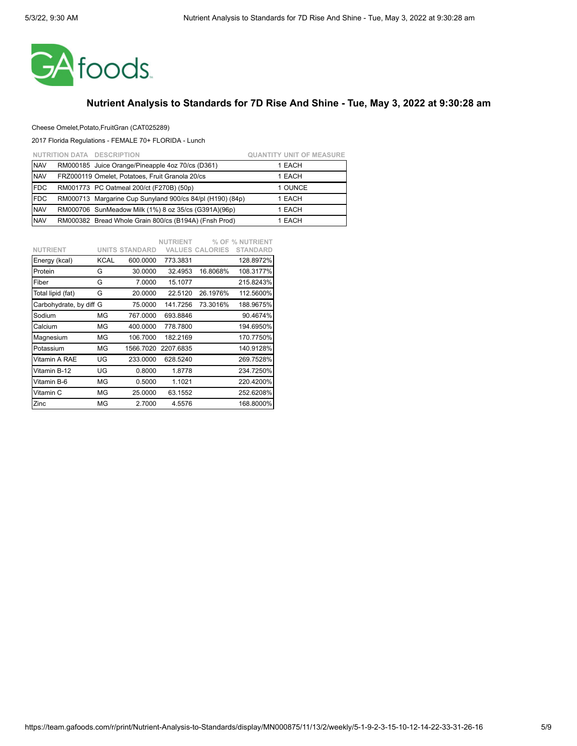

#### Cheese Omelet,Potato,FruitGran (CAT025289)

|            | NUTRITION DATA DESCRIPTION                                | <b>QUANTITY UNIT OF MEASURE</b> |
|------------|-----------------------------------------------------------|---------------------------------|
| <b>NAV</b> | RM000185 Juice Orange/Pineapple 4oz 70/cs (D361)          | 1 EACH                          |
| <b>NAV</b> | FRZ000119 Omelet, Potatoes, Fruit Granola 20/cs           | 1 EACH                          |
| <b>FDC</b> | RM001773 PC Oatmeal 200/ct (F270B) (50p)                  | 1 OUNCE                         |
| <b>FDC</b> | RM000713 Margarine Cup Sunyland 900/cs 84/pl (H190) (84p) | 1 EACH                          |
| <b>NAV</b> | RM000706 SunMeadow Milk (1%) 8 oz 35/cs (G391A)(96p)      | 1 EACH                          |
| <b>NAV</b> | RM000382 Bread Whole Grain 800/cs (B194A) (Fnsh Prod)     | 1 EACH                          |

|                         |      |                       | <b>NUTRIENT</b> |                        | % OF % NUTRIENT |
|-------------------------|------|-----------------------|-----------------|------------------------|-----------------|
| <b>NUTRIENT</b>         |      | <b>UNITS STANDARD</b> |                 | <b>VALUES CALORIES</b> | <b>STANDARD</b> |
| Energy (kcal)           | KCAL | 600.0000              | 773.3831        |                        | 128.8972%       |
| Protein                 | G    | 30.0000               | 32.4953         | 16.8068%               | 108.3177%       |
| Fiber                   | G    | 7.0000                | 15.1077         |                        | 215.8243%       |
| Total lipid (fat)       | G    | 20.0000               | 22.5120         | 26.1976%               | 112.5600%       |
| Carbohydrate, by diff G |      | 75.0000               | 141.7256        | 73.3016%               | 188.9675%       |
| Sodium                  | ΜG   | 767.0000              | 693.8846        |                        | 90.4674%        |
| Calcium                 | ΜG   | 400.0000              | 778.7800        |                        | 194.6950%       |
| Magnesium               | ΜG   | 106.7000              | 182.2169        |                        | 170.7750%       |
| Potassium               | ΜG   | 1566.7020             | 2207.6835       |                        | 140.9128%       |
| Vitamin A RAE           | UG   | 233.0000              | 628.5240        |                        | 269.7528%       |
| Vitamin B-12            | UG   | 0.8000                | 1.8778          |                        | 234.7250%       |
| Vitamin B-6             | ΜG   | 0.5000                | 1.1021          |                        | 220.4200%       |
| Vitamin C               | ΜG   | 25.0000               | 63.1552         |                        | 252.6208%       |
| Zinc                    | ΜG   | 2.7000                | 4.5576          |                        | 168.8000%       |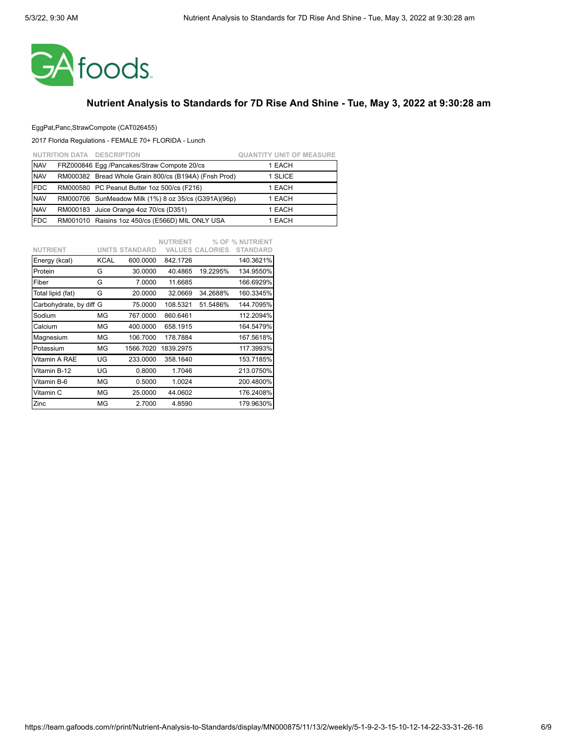

### EggPat,Panc,StrawCompote (CAT026455)

|            | NUTRITION DATA DESCRIPTION                            | <b>QUANTITY UNIT OF MEASURE</b> |
|------------|-------------------------------------------------------|---------------------------------|
| <b>NAV</b> | FRZ000846 Eqq /Pancakes/Straw Compote 20/cs           | 1 EACH                          |
| <b>NAV</b> | RM000382 Bread Whole Grain 800/cs (B194A) (Fnsh Prod) | 1 SLICE                         |
| <b>FDC</b> | RM000580 PC Peanut Butter 1oz 500/cs (F216)           | 1 EACH                          |
| <b>NAV</b> | RM000706 SunMeadow Milk (1%) 8 oz 35/cs (G391A)(96p)  | 1 EACH                          |
| <b>NAV</b> | RM000183 Juice Orange 4oz 70/cs (D351)                | 1 EACH                          |
| <b>FDC</b> | RM001010 Raisins 1oz 450/cs (E566D) MIL ONLY USA      | 1 EACH                          |

|                         |      |                       | <b>NUTRIENT</b> |                        | % OF % NUTRIENT |
|-------------------------|------|-----------------------|-----------------|------------------------|-----------------|
| <b>NUTRIENT</b>         |      | <b>UNITS STANDARD</b> |                 | <b>VALUES CALORIES</b> | <b>STANDARD</b> |
| Energy (kcal)           | KCAL | 600.0000              | 842.1726        |                        | 140.3621%       |
| Protein                 | G    | 30.0000               | 40.4865         | 19.2295%               | 134.9550%       |
| Fiber                   | G    | 7.0000                | 11.6685         |                        | 166.6929%       |
| Total lipid (fat)       | G    | 20.0000               | 32.0669         | 34.2688%               | 160.3345%       |
| Carbohydrate, by diff G |      | 75.0000               | 108.5321        | 51.5486%               | 144.7095%       |
| Sodium                  | ΜG   | 767.0000              | 860.6461        |                        | 112.2094%       |
| Calcium                 | ΜG   | 400.0000              | 658.1915        |                        | 164.5479%       |
| Magnesium               | ΜG   | 106.7000              | 178.7884        |                        | 167.5618%       |
| Potassium               | ΜG   | 1566.7020             | 1839.2975       |                        | 117.3993%       |
| Vitamin A RAE           | UG   | 233.0000              | 358.1640        |                        | 153.7185%       |
| Vitamin B-12            | UG   | 0.8000                | 1.7046          |                        | 213.0750%       |
| Vitamin B-6             | ΜG   | 0.5000                | 1.0024          |                        | 200.4800%       |
| Vitamin C               | ΜG   | 25.0000               | 44.0602         |                        | 176.2408%       |
| Zinc                    | ΜG   | 2.7000                | 4.8590          |                        | 179.9630%       |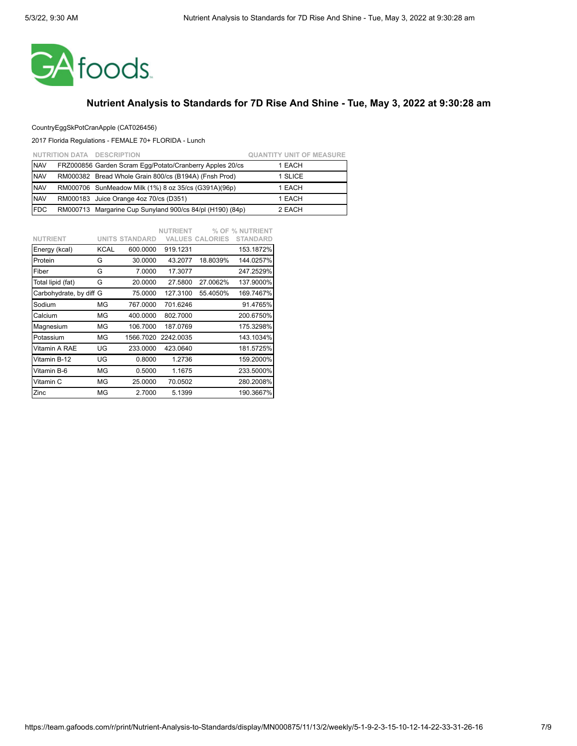

### CountryEggSkPotCranApple (CAT026456)

|            | NUTRITION DATA DESCRIPTION                                | <b>QUANTITY UNIT OF MEASURE</b> |
|------------|-----------------------------------------------------------|---------------------------------|
| <b>NAV</b> | FRZ000856 Garden Scram Egg/Potato/Cranberry Apples 20/cs  | 1 EACH                          |
| <b>NAV</b> | RM000382 Bread Whole Grain 800/cs (B194A) (Fnsh Prod)     | 1 SLICE                         |
| <b>NAV</b> | RM000706 SunMeadow Milk (1%) 8 oz 35/cs (G391A)(96p)      | 1 EACH                          |
| <b>NAV</b> | RM000183 Juice Orange 4oz 70/cs (D351)                    | 1 EACH                          |
| <b>FDC</b> | RM000713 Margarine Cup Sunyland 900/cs 84/pl (H190) (84p) | 2 EACH                          |

|                         |             |                       | <b>NUTRIENT</b> |                        | % OF % NUTRIENT |
|-------------------------|-------------|-----------------------|-----------------|------------------------|-----------------|
| <b>NUTRIENT</b>         |             | <b>UNITS STANDARD</b> |                 | <b>VALUES CALORIES</b> | <b>STANDARD</b> |
| Energy (kcal)           | <b>KCAL</b> | 600.0000              | 919.1231        |                        | 153.1872%       |
| Protein                 | G           | 30.0000               | 43.2077         | 18.8039%               | 144.0257%       |
| Fiber                   | G           | 7.0000                | 17.3077         |                        | 247.2529%       |
| Total lipid (fat)       | G           | 20.0000               | 27.5800         | 27.0062%               | 137.9000%       |
| Carbohydrate, by diff G |             | 75.0000               | 127.3100        | 55.4050%               | 169.7467%       |
| Sodium                  | ΜG          | 767.0000              | 701.6246        |                        | 91.4765%        |
| Calcium                 | MG          | 400.0000              | 802.7000        |                        | 200.6750%       |
| Magnesium               | ΜG          | 106.7000              | 187.0769        |                        | 175.3298%       |
| Potassium               | ΜG          | 1566.7020             | 2242.0035       |                        | 143.1034%       |
| Vitamin A RAE           | UG          | 233.0000              | 423.0640        |                        | 181.5725%       |
| Vitamin B-12            | UG          | 0.8000                | 1.2736          |                        | 159.2000%       |
| Vitamin B-6             | ΜG          | 0.5000                | 1.1675          |                        | 233.5000%       |
| Vitamin C               | ΜG          | 25.0000               | 70.0502         |                        | 280.2008%       |
| Zinc                    | MG          | 2.7000                | 5.1399          |                        | 190.3667%       |